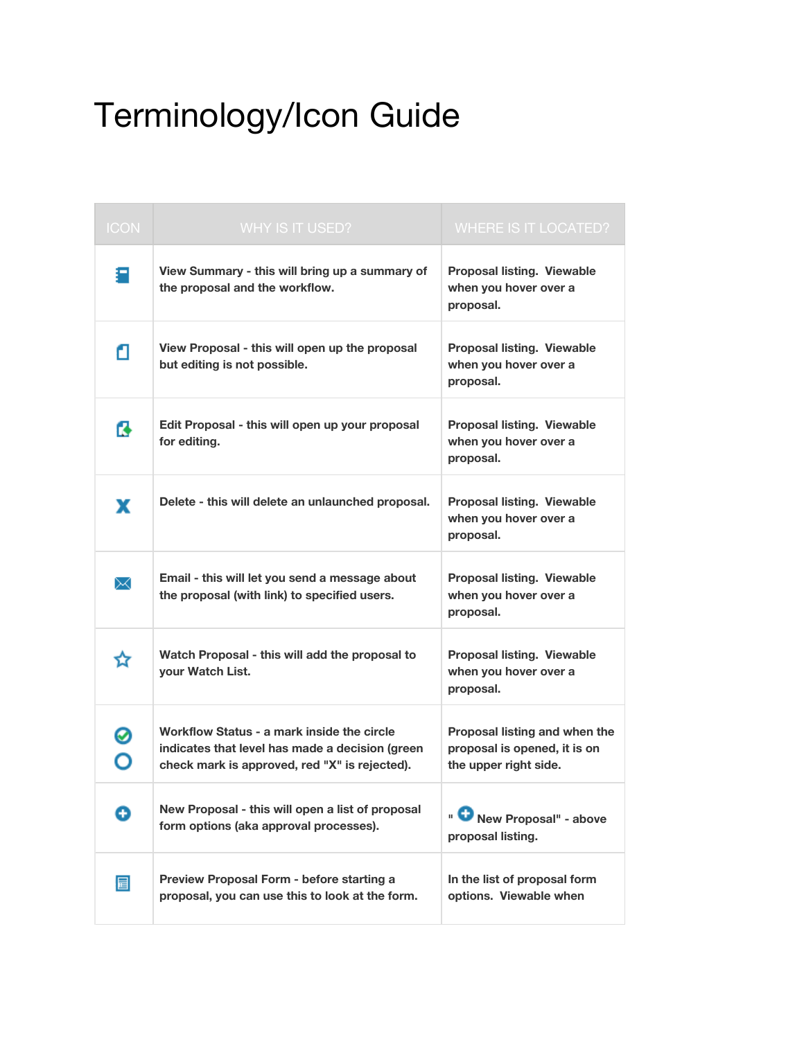## Terminology/Icon Guide

| <b>ICON</b> | <b>WHY IS IT USED?</b>                                                                                                                         | <b>WHERE IS IT LOCATED?</b>                                                            |
|-------------|------------------------------------------------------------------------------------------------------------------------------------------------|----------------------------------------------------------------------------------------|
| П           | View Summary - this will bring up a summary of<br>the proposal and the workflow.                                                               | <b>Proposal listing. Viewable</b><br>when you hover over a<br>proposal.                |
| α           | View Proposal - this will open up the proposal<br>but editing is not possible.                                                                 | <b>Proposal listing. Viewable</b><br>when you hover over a<br>proposal.                |
| ß           | Edit Proposal - this will open up your proposal<br>for editing.                                                                                | <b>Proposal listing. Viewable</b><br>when you hover over a<br>proposal.                |
| x           | Delete - this will delete an unlaunched proposal.                                                                                              | <b>Proposal listing. Viewable</b><br>when you hover over a<br>proposal.                |
| ✕           | Email - this will let you send a message about<br>the proposal (with link) to specified users.                                                 | Proposal listing. Viewable<br>when you hover over a<br>proposal.                       |
| ☆           | Watch Proposal - this will add the proposal to<br>your Watch List.                                                                             | <b>Proposal listing. Viewable</b><br>when you hover over a<br>proposal.                |
| ⊘<br>O      | Workflow Status - a mark inside the circle<br>indicates that level has made a decision (green<br>check mark is approved, red "X" is rejected). | Proposal listing and when the<br>proposal is opened, it is on<br>the upper right side. |
| o           | New Proposal - this will open a list of proposal<br>form options (aka approval processes).                                                     | New Proposal" - above<br>proposal listing.                                             |
| 冒           | Preview Proposal Form - before starting a<br>proposal, you can use this to look at the form.                                                   | In the list of proposal form<br>options. Viewable when                                 |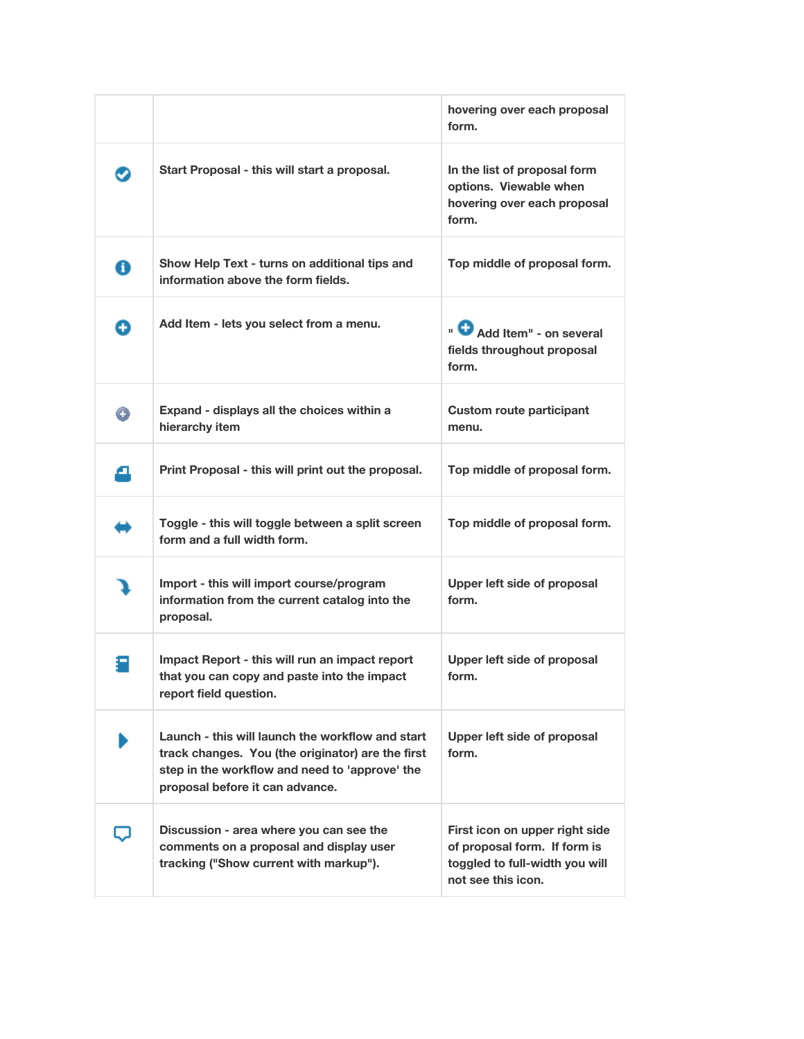|   |                                                                                                                                                                                            | hovering over each proposal<br>form.                                                                                   |
|---|--------------------------------------------------------------------------------------------------------------------------------------------------------------------------------------------|------------------------------------------------------------------------------------------------------------------------|
|   | Start Proposal - this will start a proposal.                                                                                                                                               | In the list of proposal form<br>options. Viewable when<br>hovering over each proposal<br>form.                         |
| 0 | Show Help Text - turns on additional tips and<br>information above the form fields.                                                                                                        | Top middle of proposal form.                                                                                           |
| Q | Add Item - lets you select from a menu.                                                                                                                                                    | " Add Item" - on several<br>fields throughout proposal<br>form.                                                        |
| Θ | Expand - displays all the choices within a<br>hierarchy item                                                                                                                               | <b>Custom route participant</b><br>menu.                                                                               |
| Δ | Print Proposal - this will print out the proposal.                                                                                                                                         | Top middle of proposal form.                                                                                           |
|   | Toggle - this will toggle between a split screen<br>form and a full width form.                                                                                                            | Top middle of proposal form.                                                                                           |
|   | Import - this will import course/program<br>information from the current catalog into the<br>proposal.                                                                                     | Upper left side of proposal<br>form.                                                                                   |
|   | Impact Report - this will run an impact report<br>that you can copy and paste into the impact<br>report field question.                                                                    | Upper left side of proposal<br>form.                                                                                   |
|   | Launch - this will launch the workflow and start<br>track changes. You (the originator) are the first<br>step in the workflow and need to 'approve' the<br>proposal before it can advance. | Upper left side of proposal<br>form.                                                                                   |
|   | Discussion - area where you can see the<br>comments on a proposal and display user<br>tracking ("Show current with markup").                                                               | First icon on upper right side<br>of proposal form. If form is<br>toggled to full-width you will<br>not see this icon. |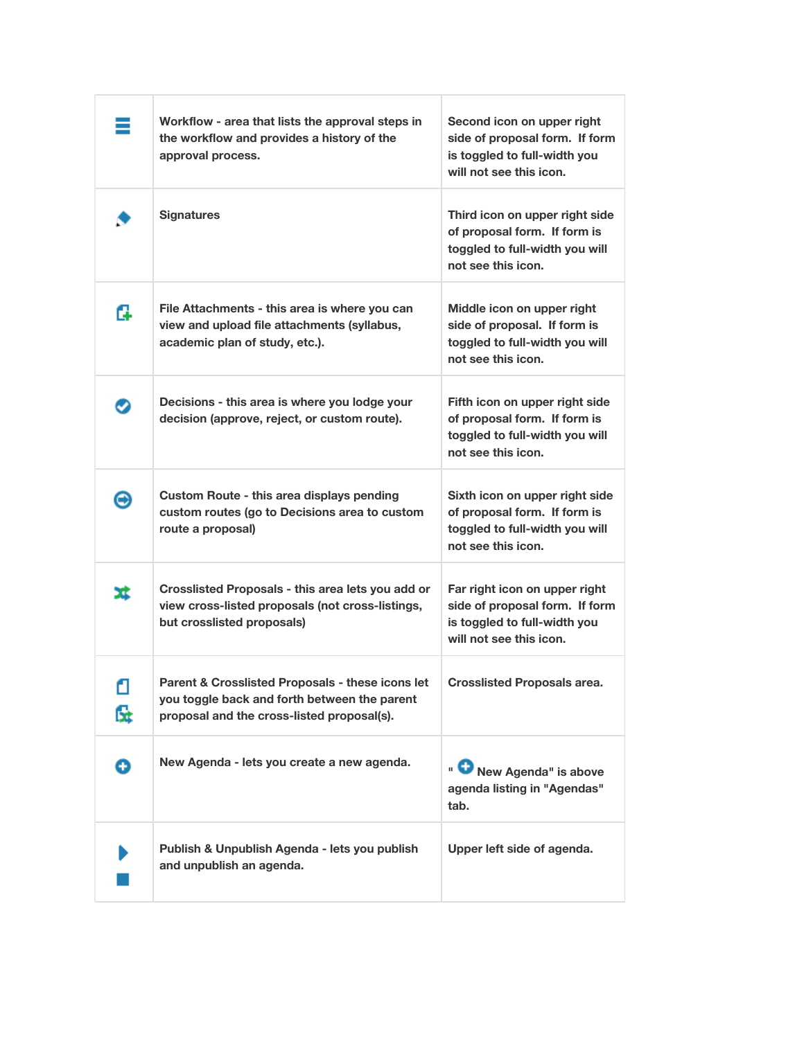| ≡       | Workflow - area that lists the approval steps in<br>the workflow and provides a history of the<br>approval process.                            | Second icon on upper right<br>side of proposal form. If form<br>is toggled to full-width you<br>will not see this icon.    |
|---------|------------------------------------------------------------------------------------------------------------------------------------------------|----------------------------------------------------------------------------------------------------------------------------|
|         | <b>Signatures</b>                                                                                                                              | Third icon on upper right side<br>of proposal form. If form is<br>toggled to full-width you will<br>not see this icon.     |
| G       | File Attachments - this area is where you can<br>view and upload file attachments (syllabus,<br>academic plan of study, etc.).                 | Middle icon on upper right<br>side of proposal. If form is<br>toggled to full-width you will<br>not see this icon.         |
| 9       | Decisions - this area is where you lodge your<br>decision (approve, reject, or custom route).                                                  | Fifth icon on upper right side<br>of proposal form. If form is<br>toggled to full-width you will<br>not see this icon.     |
| Θ       | Custom Route - this area displays pending<br>custom routes (go to Decisions area to custom<br>route a proposal)                                | Sixth icon on upper right side<br>of proposal form. If form is<br>toggled to full-width you will<br>not see this icon.     |
| x       | Crosslisted Proposals - this area lets you add or<br>view cross-listed proposals (not cross-listings,<br>but crosslisted proposals)            | Far right icon on upper right<br>side of proposal form. If form<br>is toggled to full-width you<br>will not see this icon. |
| ₫<br>ß. | Parent & Crosslisted Proposals - these icons let<br>you toggle back and forth between the parent<br>proposal and the cross-listed proposal(s). | <b>Crosslisted Proposals area.</b>                                                                                         |
| Ð       | New Agenda - lets you create a new agenda.                                                                                                     | New Agenda" is above<br>agenda listing in "Agendas"<br>tab.                                                                |
|         | Publish & Unpublish Agenda - lets you publish<br>and unpublish an agenda.                                                                      | Upper left side of agenda.                                                                                                 |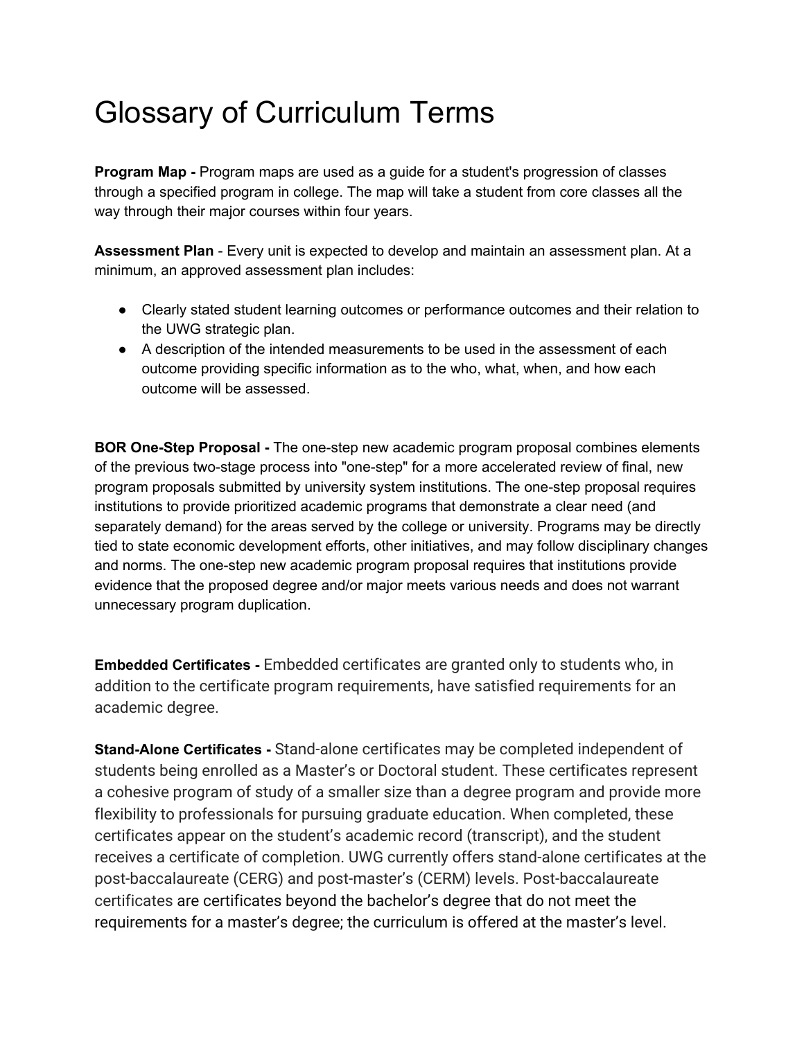## Glossary of Curriculum Terms

**Program Map -** Program maps are used as a guide for a student's progression of classes through a specified program in college. The map will take a student from core classes all the way through their major courses within four years.

**Assessment Plan** - Every unit is expected to develop and maintain an assessment plan. At a minimum, an approved assessment plan includes:

- Clearly stated student learning outcomes or performance outcomes and their relation to the UWG strategic plan.
- A description of the intended measurements to be used in the assessment of each outcome providing specific information as to the who, what, when, and how each outcome will be assessed.

**BOR One-Step Proposal -** The one-step new academic program proposal combines elements of the previous two-stage process into "one-step" for a more accelerated review of final, new program proposals submitted by university system institutions. The one-step proposal requires institutions to provide prioritized academic programs that demonstrate a clear need (and separately demand) for the areas served by the college or university. Programs may be directly tied to state economic development efforts, other initiatives, and may follow disciplinary changes and norms. The one-step new academic program proposal requires that institutions provide evidence that the proposed degree and/or major meets various needs and does not warrant unnecessary program duplication.

**Embedded Certificates -** Embedded certificates are granted only to students who, in addition to the certificate program requirements, have satisfied requirements for an academic degree.

**Stand-Alone Certificates -** Stand-alone certificates may be completed independent of students being enrolled as a Master's or Doctoral student. These certificates represent a cohesive program of study of a smaller size than a degree program and provide more flexibility to professionals for pursuing graduate education. When completed, these certificates appear on the student's academic record (transcript), and the student receives a certificate of completion. UWG currently offers stand-alone certificates at the post-baccalaureate (CERG) and post-master's (CERM) levels. Post-baccalaureate certificates are certificates beyond the bachelor's degree that do not meet the requirements for a master's degree; the curriculum is offered at the master's level.